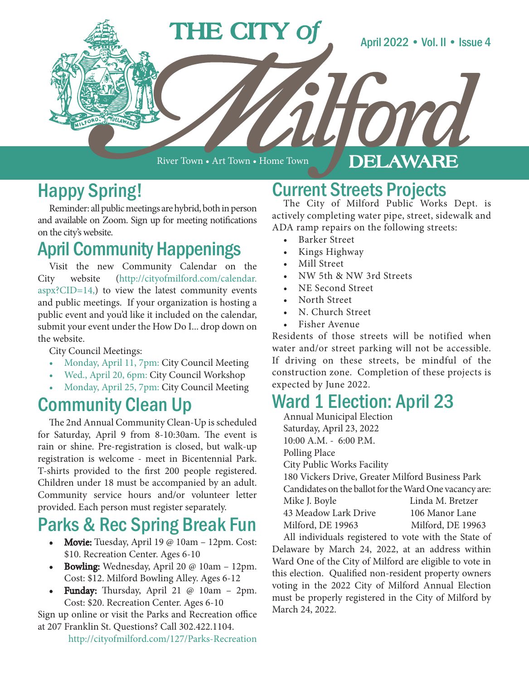

River Town • Art Town • Home Town

#### DELAWARE

#### Happy Spring!

Reminder: all public meetings are hybrid, both in person and available on Zoom. Sign up for meeting notifications on the city's website.

#### April Community Happenings

Visit the new Community Calendar on the City website (http://cityofmilford.com/calendar. aspx?CID=14,) to view the latest community events and public meetings. If your organization is hosting a public event and you'd like it included on the calendar, submit your event under the How Do I... drop down on the website.

City Council Meetings:

- Monday, April 11, 7pm: City Council Meeting
- Wed., April 20, 6pm: City Council Workshop
- Monday, April 25, 7pm: City Council Meeting

## Community Clean Up

The 2nd Annual Community Clean-Up is scheduled for Saturday, April 9 from 8-10:30am. The event is rain or shine. Pre-registration is closed, but walk-up registration is welcome - meet in Bicentennial Park. T-shirts provided to the first 200 people registered. Children under 18 must be accompanied by an adult. Community service hours and/or volunteer letter provided. Each person must register separately.

## Parks & Rec Spring Break Fun

- Movie: Tuesday, April 19 @ 10am 12pm. Cost: \$10. Recreation Center. Ages 6-10
- Bowling: Wednesday, April 20 @ 10am 12pm. Cost: \$12. Milford Bowling Alley. Ages 6-12
- Funday: Thursday, April 21  $@$  10am 2pm. Cost: \$20. Recreation Center. Ages 6-10

Sign up online or visit the Parks and Recreation office at 207 Franklin St. Questions? Call 302.422.1104.

http://cityofmilford.com/127/Parks-Recreation

# Current Streets Projects<br>The City of Milford Public Works Dept. is

actively completing water pipe, street, sidewalk and ADA ramp repairs on the following streets:

- **Barker Street**
- Kings Highway
- Mill Street
- NW 5th & NW 3rd Streets
- NE Second Street
- North Street
- N. Church Street
- Fisher Avenue

Residents of those streets will be notified when water and/or street parking will not be accessible. If driving on these streets, be mindful of the construction zone. Completion of these projects is expected by June 2022.

## Ward 1 Election: April 23

Annual Municipal Election Saturday, April 23, 2022 10:00 A.M. - 6:00 P.M. Polling Place City Public Works Facility 180 Vickers Drive, Greater Milford Business Park Candidates on the ballot for the Ward One vacancy are: Mike J. Boyle Linda M. Bretzer 43 Meadow Lark Drive 106 Manor Lane Milford, DE 19963 Milford, DE 19963

All individuals registered to vote with the State of Delaware by March 24, 2022, at an address within Ward One of the City of Milford are eligible to vote in this election. Qualified non-resident property owners voting in the 2022 City of Milford Annual Election must be properly registered in the City of Milford by March 24, 2022.